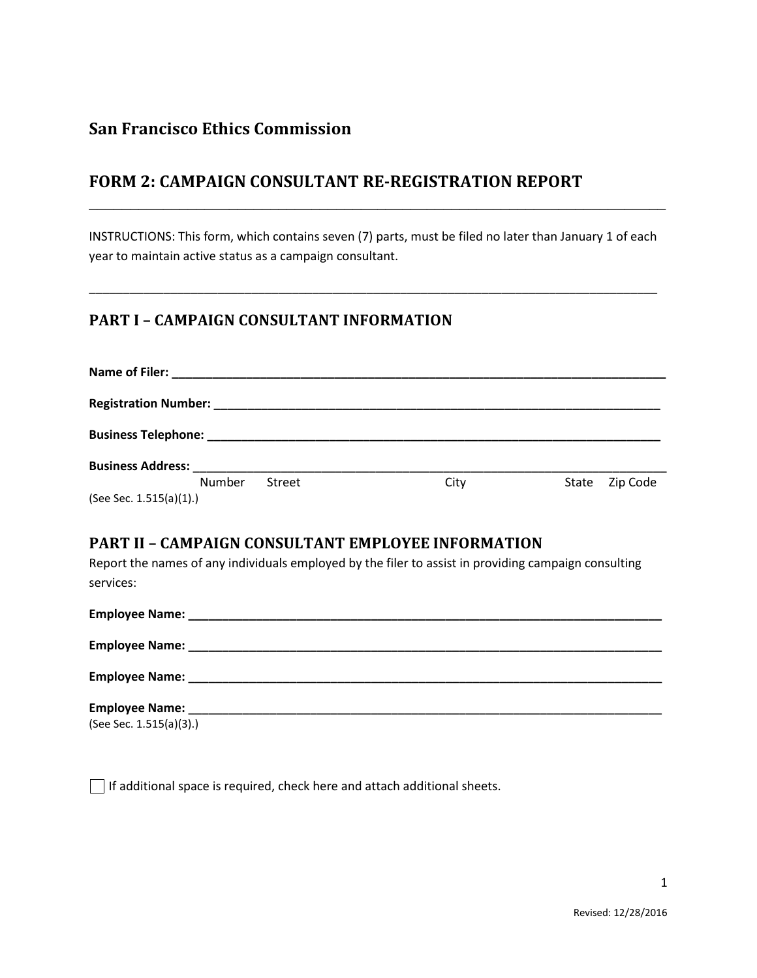## **San Francisco Ethics Commission**

# **FORM 2: CAMPAIGN CONSULTANT RE-REGISTRATION REPORT**

INSTRUCTIONS: This form, which contains seven (7) parts, must be filed no later than January 1 of each year to maintain active status as a campaign consultant.

\_\_\_\_\_\_\_\_\_\_\_\_\_\_\_\_\_\_\_\_\_\_\_\_\_\_\_\_\_\_\_\_\_\_\_\_\_\_\_\_\_\_\_\_\_\_\_\_\_\_\_\_\_\_\_\_\_\_\_\_\_\_\_\_\_\_\_\_\_\_\_\_\_\_\_\_\_\_\_\_\_\_\_\_

**\_\_\_\_\_\_\_\_\_\_\_\_\_\_\_\_\_\_\_\_\_\_\_\_\_\_\_\_\_\_\_\_\_\_\_\_\_\_\_\_\_\_\_\_\_\_\_\_\_\_\_\_\_\_\_\_\_\_\_\_\_\_\_\_\_\_\_\_\_\_**

### **PART I – CAMPAIGN CONSULTANT INFORMATION**

| <b>Business Address:</b> |        |        |      |       |          |
|--------------------------|--------|--------|------|-------|----------|
|                          | Number | Street | City | State | Zip Code |
| (See Sec. 1.515(a)(1).)  |        |        |      |       |          |

#### **PART II – CAMPAIGN CONSULTANT EMPLOYEE INFORMATION**

Report the names of any individuals employed by the filer to assist in providing campaign consulting services:

| <b>Employee Name:</b>   |  |
|-------------------------|--|
|                         |  |
|                         |  |
|                         |  |
|                         |  |
|                         |  |
| (See Sec. 1.515(a)(3).) |  |

 $\Box$  If additional space is required, check here and attach additional sheets.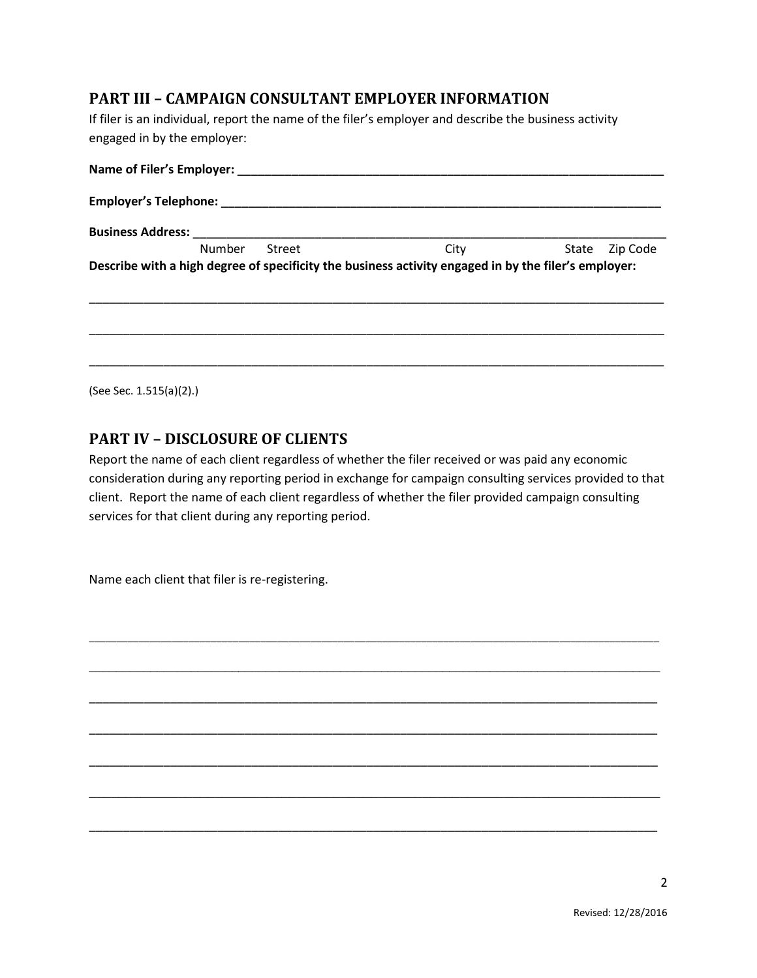#### **PART III – CAMPAIGN CONSULTANT EMPLOYER INFORMATION**

If filer is an individual, report the name of the filer's employer and describe the business activity engaged in by the employer:

| <b>Business Address:</b> |        |        |                                                                                                      |                |  |  |
|--------------------------|--------|--------|------------------------------------------------------------------------------------------------------|----------------|--|--|
|                          | Number | Street | City                                                                                                 | State Zip Code |  |  |
|                          |        |        | Describe with a high degree of specificity the business activity engaged in by the filer's employer: |                |  |  |
|                          |        |        |                                                                                                      |                |  |  |
|                          |        |        |                                                                                                      |                |  |  |

(See Sec. 1.515(a)(2).)

#### **PART IV – DISCLOSURE OF CLIENTS**

Report the name of each client regardless of whether the filer received or was paid any economic consideration during any reporting period in exchange for campaign consulting services provided to that client. Report the name of each client regardless of whether the filer provided campaign consulting services for that client during any reporting period.

\_\_\_\_\_\_\_\_\_\_\_\_\_\_\_\_\_\_\_\_\_\_\_\_\_\_\_\_\_\_\_\_\_\_\_\_\_\_\_\_\_\_\_\_\_\_\_\_\_\_\_\_\_\_\_\_\_\_\_\_\_\_\_\_\_\_\_\_\_\_\_\_\_\_\_\_\_\_\_\_\_\_\_\_\_\_\_\_\_\_\_\_\_\_\_\_\_\_\_\_\_\_\_

\_\_\_\_\_\_\_\_\_\_\_\_\_\_\_\_\_\_\_\_\_\_\_\_\_\_\_\_\_\_\_\_\_\_\_\_\_\_\_\_\_\_\_\_\_\_\_\_\_\_\_\_\_\_\_\_\_\_\_\_\_\_\_\_\_\_\_\_\_\_\_\_\_\_\_\_\_\_\_\_\_\_\_\_

\_\_\_\_\_\_\_\_\_\_\_\_\_\_\_\_\_\_\_\_\_\_\_\_\_\_\_\_\_\_\_\_\_\_\_\_\_\_\_\_\_\_\_\_\_\_\_\_\_\_\_\_\_\_\_\_\_\_\_\_\_\_\_\_\_\_\_\_\_\_\_\_\_\_\_\_\_\_\_\_\_\_\_\_

\_\_\_\_\_\_\_\_\_\_\_\_\_\_\_\_\_\_\_\_\_\_\_\_\_\_\_\_\_\_\_\_\_\_\_\_\_\_\_\_\_\_\_\_\_\_\_\_\_\_\_\_\_\_\_\_\_\_\_\_\_\_\_\_\_\_\_\_\_\_\_\_\_\_\_\_\_\_\_\_\_\_\_\_

\_\_\_\_\_\_\_\_\_\_\_\_\_\_\_\_\_\_\_\_\_\_\_\_\_\_\_\_\_\_\_\_\_\_\_\_\_\_\_\_\_\_\_\_\_\_\_\_\_\_\_\_\_\_\_\_\_\_\_\_\_\_\_\_\_\_\_\_\_\_\_\_\_\_\_\_\_\_\_\_\_\_\_\_

\_\_\_\_\_\_\_\_\_\_\_\_\_\_\_\_\_\_\_\_\_\_\_\_\_\_\_\_\_\_\_\_\_\_\_\_\_\_\_\_\_\_\_\_\_\_\_\_\_\_\_\_\_\_\_\_\_\_\_\_\_\_\_\_\_\_\_\_\_\_\_\_\_\_\_\_\_

\_\_\_\_\_\_\_\_\_\_\_\_\_\_\_\_\_\_\_\_\_\_\_\_\_\_\_\_\_\_\_\_\_\_\_\_\_\_\_\_\_\_\_\_\_\_\_\_\_\_\_\_\_\_\_\_\_\_\_\_\_\_\_\_\_\_\_\_\_\_\_\_\_\_\_\_\_\_\_\_\_\_\_\_

Name each client that filer is re-registering.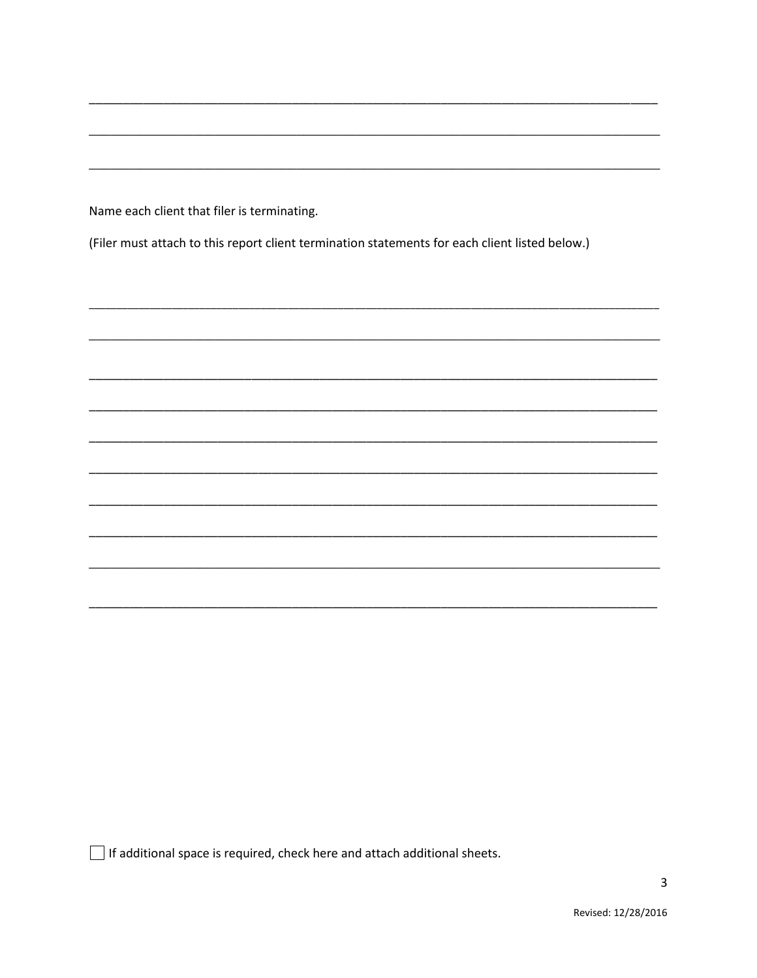Name each client that filer is terminating.

(Filer must attach to this report client termination statements for each client listed below.)

□ If additional space is required, check here and attach additional sheets.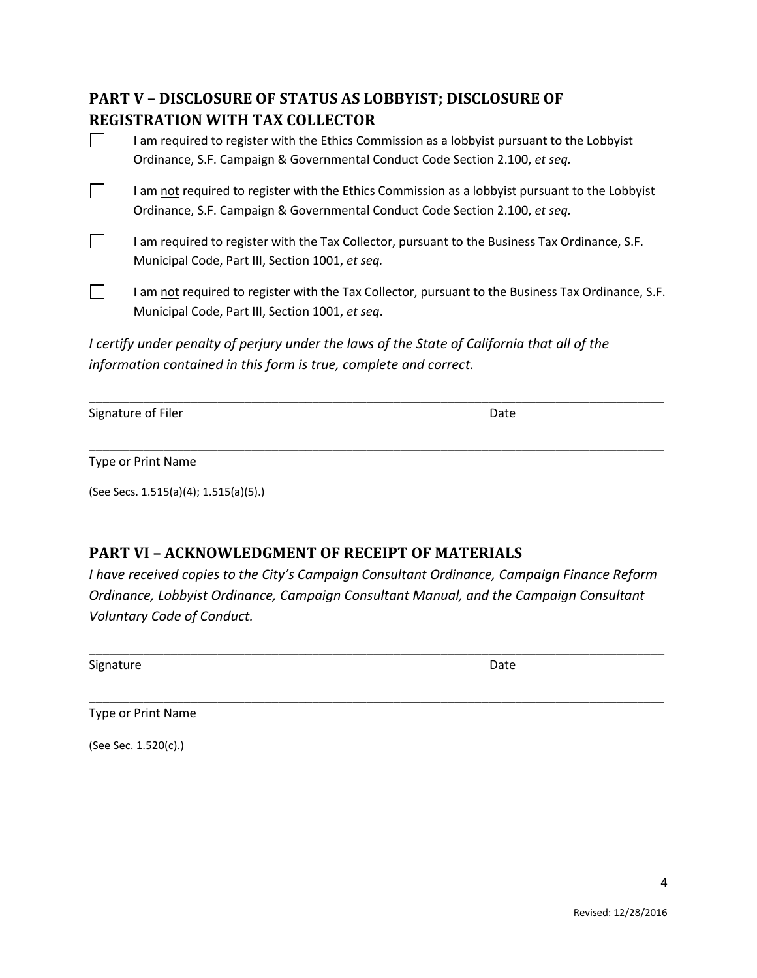# **PART V – DISCLOSURE OF STATUS AS LOBBYIST; DISCLOSURE OF REGISTRATION WITH TAX COLLECTOR**

| I am required to register with the Ethics Commission as a lobbyist pursuant to the Lobbyist<br>Ordinance, S.F. Campaign & Governmental Conduct Code Section 2.100, et seg.     |
|--------------------------------------------------------------------------------------------------------------------------------------------------------------------------------|
| I am not required to register with the Ethics Commission as a lobbyist pursuant to the Lobbyist<br>Ordinance, S.F. Campaign & Governmental Conduct Code Section 2.100, et seq. |
| I am required to register with the Tax Collector, pursuant to the Business Tax Ordinance, S.F.<br>Municipal Code, Part III, Section 1001, et seq.                              |
| I am not required to register with the Tax Collector, pursuant to the Business Tax Ordinance, S.F.<br>Municipal Code, Part III, Section 1001, et seq.                          |
| I certify under penalty of perjury under the laws of the State of California that all of the<br>information contained in this form is true, complete and correct.              |

\_\_\_\_\_\_\_\_\_\_\_\_\_\_\_\_\_\_\_\_\_\_\_\_\_\_\_\_\_\_\_\_\_\_\_\_\_\_\_\_\_\_\_\_\_\_\_\_\_\_\_\_\_\_\_\_\_\_\_\_\_\_\_\_\_\_\_\_\_\_\_\_\_\_\_\_\_\_\_\_\_\_\_\_\_

\_\_\_\_\_\_\_\_\_\_\_\_\_\_\_\_\_\_\_\_\_\_\_\_\_\_\_\_\_\_\_\_\_\_\_\_\_\_\_\_\_\_\_\_\_\_\_\_\_\_\_\_\_\_\_\_\_\_\_\_\_\_\_\_\_\_\_\_\_\_\_\_\_\_\_\_\_\_\_\_\_\_\_\_\_

Signature of Filer **Date** 

Type or Print Name

(See Secs. 1.515(a)(4); 1.515(a)(5).)

## **PART VI – ACKNOWLEDGMENT OF RECEIPT OF MATERIALS**

*I have received copies to the City's Campaign Consultant Ordinance, Campaign Finance Reform Ordinance, Lobbyist Ordinance, Campaign Consultant Manual, and the Campaign Consultant Voluntary Code of Conduct.*

\_\_\_\_\_\_\_\_\_\_\_\_\_\_\_\_\_\_\_\_\_\_\_\_\_\_\_\_\_\_\_\_\_\_\_\_\_\_\_\_\_\_\_\_\_\_\_\_\_\_\_\_\_\_\_\_\_\_\_\_\_\_\_\_\_\_\_\_\_\_\_\_\_\_\_\_\_\_\_\_\_\_\_\_\_

\_\_\_\_\_\_\_\_\_\_\_\_\_\_\_\_\_\_\_\_\_\_\_\_\_\_\_\_\_\_\_\_\_\_\_\_\_\_\_\_\_\_\_\_\_\_\_\_\_\_\_\_\_\_\_\_\_\_\_\_\_\_\_\_\_\_\_\_\_\_\_\_\_\_\_\_\_\_\_\_\_\_\_\_\_

Signature Date Date Communications and Date Date Date

Type or Print Name

(See Sec. 1.520(c).)